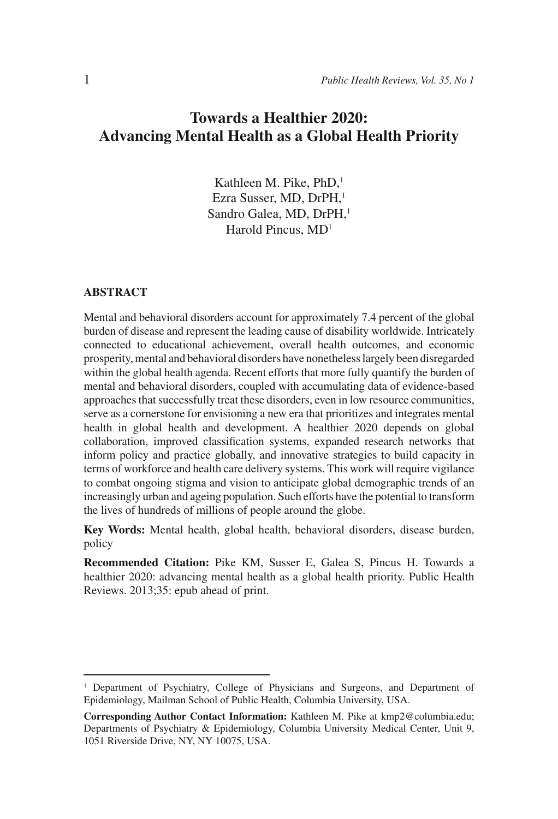# **Towards a Healthier 2020: Advancing Mental Health as a Global Health Priority**

Kathleen M. Pike, PhD,<sup>1</sup> Ezra Susser, MD, DrPH,<sup>1</sup> Sandro Galea, MD, DrPH,<sup>1</sup> Harold Pincus, MD1

#### **ABSTRACT**

Mental and behavioral disorders account for approximately 7.4 percent of the global burden of disease and represent the leading cause of disability worldwide. Intricately connected to educational achievement, overall health outcomes, and economic prosperity, mental and behavioral disorders have nonetheless largely been disregarded within the global health agenda. Recent efforts that more fully quantify the burden of mental and behavioral disorders, coupled with accumulating data of evidence-based approaches that successfully treat these disorders, even in low resource communities, serve as a cornerstone for envisioning a new era that prioritizes and integrates mental health in global health and development. A healthier 2020 depends on global collaboration, improved classification systems, expanded research networks that inform policy and practice globally, and innovative strategies to build capacity in terms of workforce and health care delivery systems. This work will require vigilance to combat ongoing stigma and vision to anticipate global demographic trends of an increasingly urban and ageing population. Such efforts have the potential to transform the lives of hundreds of millions of people around the globe.

**Key Words:** Mental health, global health, behavioral disorders, disease burden, policy

**Recommended Citation:** Pike KM, Susser E, Galea S, Pincus H. Towards a healthier 2020: advancing mental health as a global health priority. Public Health Reviews. 2013;35: epub ahead of print.

<sup>1</sup> Department of Psychiatry, College of Physicians and Surgeons, and Department of Epidemiology, Mailman School of Public Health, Columbia University, USA.

**Corresponding Author Contact Information:** Kathleen M. Pike at kmp2@columbia.edu; Departments of Psychiatry & Epidemiology, Columbia University Medical Center, Unit 9, 1051 Riverside Drive, NY, NY 10075, USA.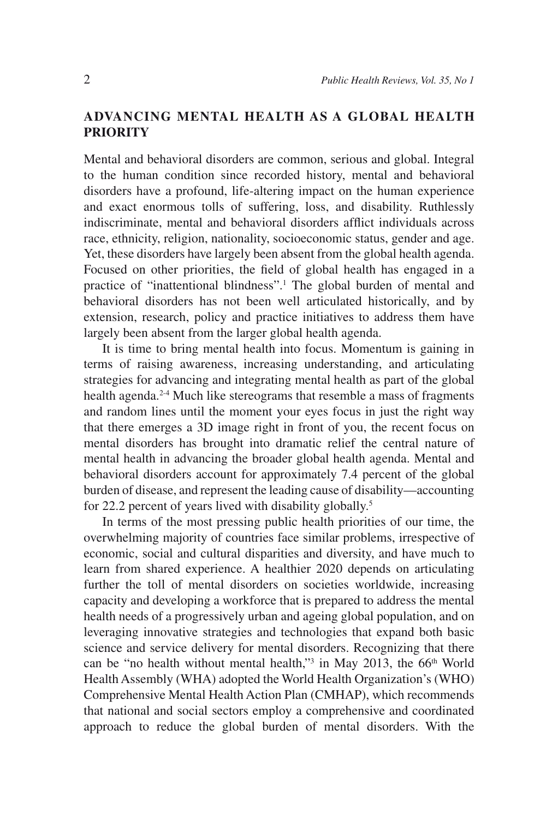# **ADVANCING MENTAL HEALTH AS A GLOBAL HEALTH PRIORITY**

Mental and behavioral disorders are common, serious and global. Integral to the human condition since recorded history, mental and behavioral disorders have a profound, life-altering impact on the human experience and exact enormous tolls of suffering, loss, and disability. Ruthlessly indiscriminate, mental and behavioral disorders afflict individuals across race, ethnicity, religion, nationality, socioeconomic status, gender and age. Yet, these disorders have largely been absent from the global health agenda. Focused on other priorities, the field of global health has engaged in a practice of "inattentional blindness".<sup>1</sup> The global burden of mental and behavioral disorders has not been well articulated historically, and by extension, research, policy and practice initiatives to address them have largely been absent from the larger global health agenda.

It is time to bring mental health into focus. Momentum is gaining in terms of raising awareness, increasing understanding, and articulating strategies for advancing and integrating mental health as part of the global health agenda.<sup>2-4</sup> Much like stereograms that resemble a mass of fragments and random lines until the moment your eyes focus in just the right way that there emerges a 3D image right in front of you, the recent focus on mental disorders has brought into dramatic relief the central nature of mental health in advancing the broader global health agenda. Mental and behavioral disorders account for approximately 7.4 percent of the global burden of disease, and represent the leading cause of disability—accounting for 22.2 percent of years lived with disability globally.<sup>5</sup>

In terms of the most pressing public health priorities of our time, the overwhelming majority of countries face similar problems, irrespective of economic, social and cultural disparities and diversity, and have much to learn from shared experience. A healthier 2020 depends on articulating further the toll of mental disorders on societies worldwide, increasing capacity and developing a workforce that is prepared to address the mental health needs of a progressively urban and ageing global population, and on leveraging innovative strategies and technologies that expand both basic science and service delivery for mental disorders. Recognizing that there can be "no health without mental health,"<sup>3</sup> in May 2013, the  $66<sup>th</sup>$  World Health Assembly (WHA) adopted the World Health Organization's (WHO) Comprehensive Mental Health Action Plan (CMHAP), which recommends that national and social sectors employ a comprehensive and coordinated approach to reduce the global burden of mental disorders. With the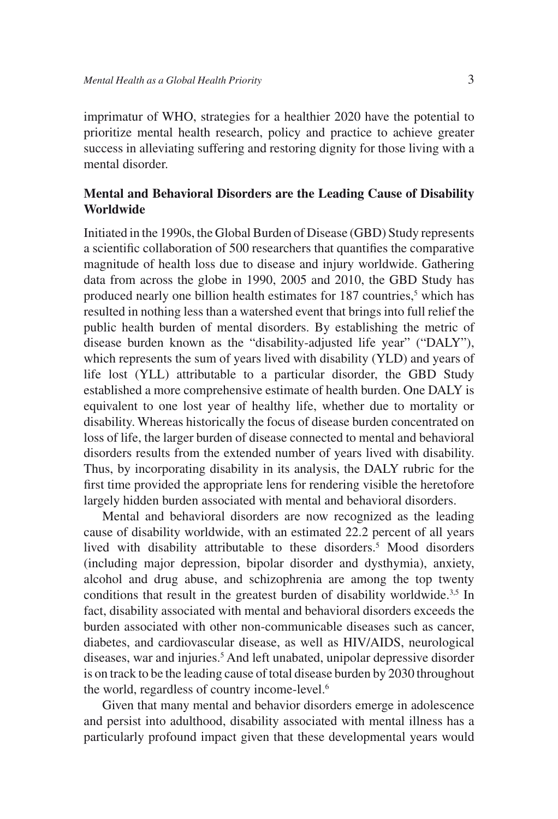imprimatur of WHO, strategies for a healthier 2020 have the potential to prioritize mental health research, policy and practice to achieve greater success in alleviating suffering and restoring dignity for those living with a mental disorder.

# **Mental and Behavioral Disorders are the Leading Cause of Disability Worldwide**

Initiated in the 1990s, the Global Burden of Disease (GBD) Study represents a scientific collaboration of 500 researchers that quantifies the comparative magnitude of health loss due to disease and injury worldwide. Gathering data from across the globe in 1990, 2005 and 2010, the GBD Study has produced nearly one billion health estimates for 187 countries,<sup>5</sup> which has resulted in nothing less than a watershed event that brings into full relief the public health burden of mental disorders. By establishing the metric of disease burden known as the "disability-adjusted life year" ("DALY"), which represents the sum of years lived with disability (YLD) and years of life lost (YLL) attributable to a particular disorder, the GBD Study established a more comprehensive estimate of health burden. One DALY is equivalent to one lost year of healthy life, whether due to mortality or disability. Whereas historically the focus of disease burden concentrated on loss of life, the larger burden of disease connected to mental and behavioral disorders results from the extended number of years lived with disability. Thus, by incorporating disability in its analysis, the DALY rubric for the first time provided the appropriate lens for rendering visible the heretofore largely hidden burden associated with mental and behavioral disorders.

Mental and behavioral disorders are now recognized as the leading cause of disability worldwide, with an estimated 22.2 percent of all years lived with disability attributable to these disorders.<sup>5</sup> Mood disorders (including major depression, bipolar disorder and dysthymia), anxiety, alcohol and drug abuse, and schizophrenia are among the top twenty conditions that result in the greatest burden of disability worldwide.<sup>3,5</sup> In fact, disability associated with mental and behavioral disorders exceeds the burden associated with other non-communicable diseases such as cancer, diabetes, and cardiovascular disease, as well as HIV/AIDS, neurological diseases, war and injuries.<sup>5</sup> And left unabated, unipolar depressive disorder is on track to be the leading cause of total disease burden by 2030 throughout the world, regardless of country income-level.<sup>6</sup>

Given that many mental and behavior disorders emerge in adolescence and persist into adulthood, disability associated with mental illness has a particularly profound impact given that these developmental years would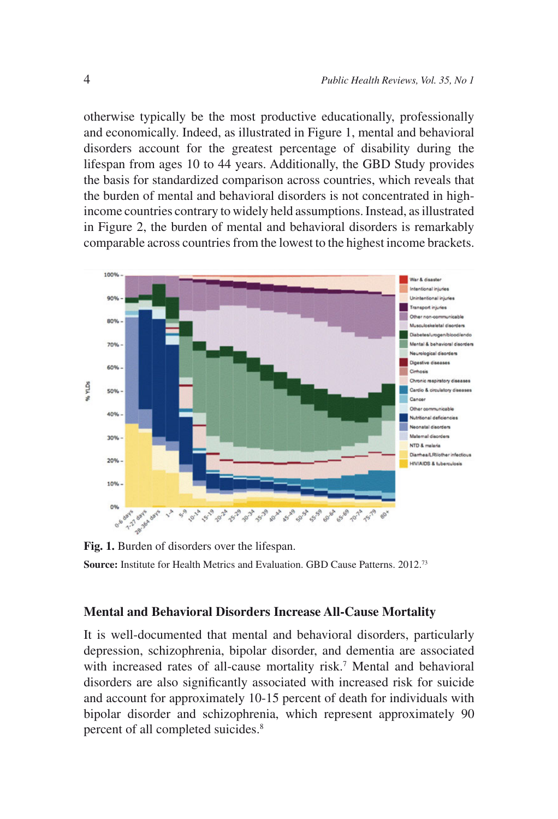otherwise typically be the most productive educationally, professionally and economically. Indeed, as illustrated in Figure 1, mental and behavioral disorders account for the greatest percentage of disability during the lifespan from ages 10 to 44 years. Additionally, the GBD Study provides the basis for standardized comparison across countries, which reveals that the burden of mental and behavioral disorders is not concentrated in highincome countries contrary to widely held assumptions. Instead, as illustrated in Figure 2, the burden of mental and behavioral disorders is remarkably comparable across countries from the lowest to the highest income brackets.



**Fig. 1.** Burden of disorders over the lifespan. **Source:** Institute for Health Metrics and Evaluation. GBD Cause Patterns. 2012.73

#### **Mental and Behavioral Disorders Increase All-Cause Mortality**

It is well-documented that mental and behavioral disorders, particularly depression, schizophrenia, bipolar disorder, and dementia are associated with increased rates of all-cause mortality risk.<sup>7</sup> Mental and behavioral disorders are also significantly associated with increased risk for suicide and account for approximately 10-15 percent of death for individuals with bipolar disorder and schizophrenia, which represent approximately 90 percent of all completed suicides.<sup>8</sup>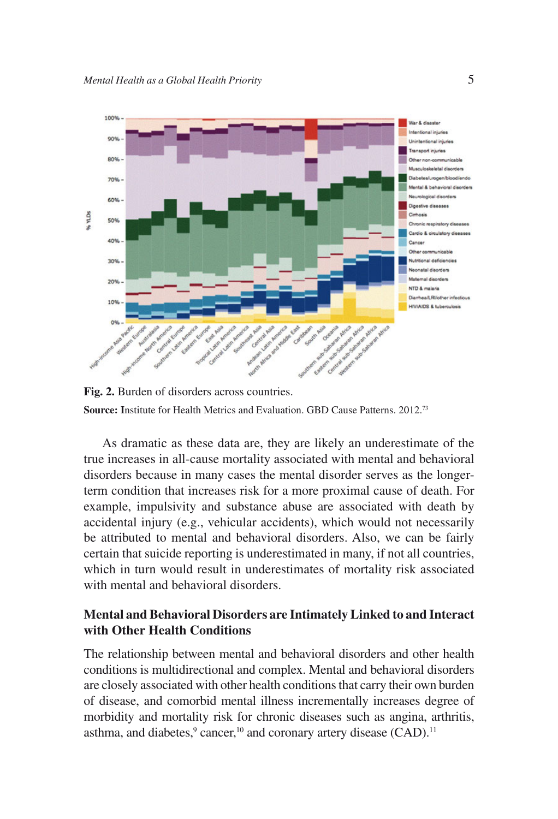

**Fig. 2.** Burden of disorders across countries. **Source: I**nstitute for Health Metrics and Evaluation. GBD Cause Patterns. 2012.73

As dramatic as these data are, they are likely an underestimate of the true increases in all-cause mortality associated with mental and behavioral disorders because in many cases the mental disorder serves as the longerterm condition that increases risk for a more proximal cause of death. For example, impulsivity and substance abuse are associated with death by accidental injury (e.g., vehicular accidents), which would not necessarily be attributed to mental and behavioral disorders. Also, we can be fairly certain that suicide reporting is underestimated in many, if not all countries, which in turn would result in underestimates of mortality risk associated with mental and behavioral disorders.

### **Mental and Behavioral Disorders are Intimately Linked to and Interact with Other Health Conditions**

The relationship between mental and behavioral disorders and other health conditions is multidirectional and complex. Mental and behavioral disorders are closely associated with other health conditions that carry their own burden of disease, and comorbid mental illness incrementally increases degree of morbidity and mortality risk for chronic diseases such as angina, arthritis, asthma, and diabetes, $9$  cancer, $10$  and coronary artery disease (CAD).<sup>11</sup>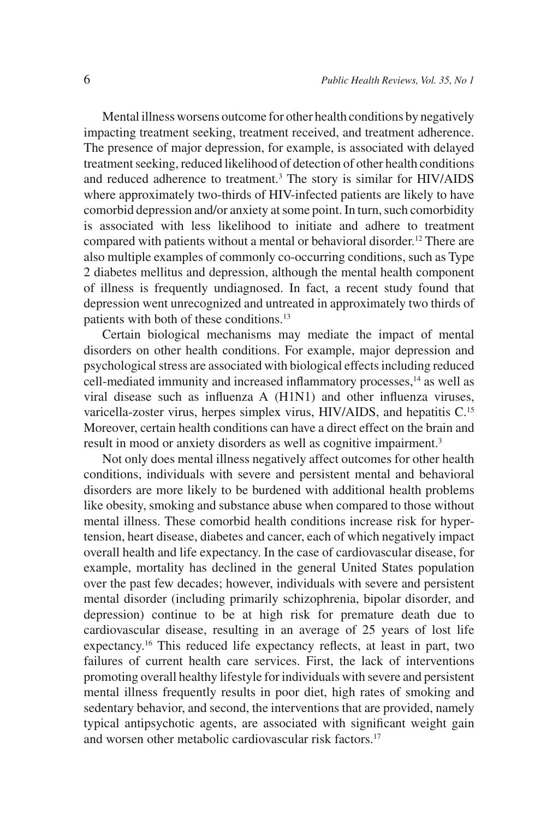Mental illness worsens outcome for other health conditions by negatively impacting treatment seeking, treatment received, and treatment adherence. The presence of major depression, for example, is associated with delayed treatment seeking, reduced likelihood of detection of other health conditions and reduced adherence to treatment.3 The story is similar for HIV/AIDS where approximately two-thirds of HIV-infected patients are likely to have comorbid depression and/or anxiety at some point. In turn, such comorbidity is associated with less likelihood to initiate and adhere to treatment compared with patients without a mental or behavioral disorder.<sup>12</sup> There are also multiple examples of commonly co-occurring conditions, such as Type 2 diabetes mellitus and depression, although the mental health component of illness is frequently undiagnosed. In fact, a recent study found that depression went unrecognized and untreated in approximately two thirds of patients with both of these conditions.13

Certain biological mechanisms may mediate the impact of mental disorders on other health conditions. For example, major depression and psychological stress are associated with biological effects including reduced cell-mediated immunity and increased inflammatory processes,<sup>14</sup> as well as viral disease such as influenza A (H1N1) and other influenza viruses, varicella-zoster virus, herpes simplex virus, HIV/AIDS, and hepatitis C.15 Moreover, certain health conditions can have a direct effect on the brain and result in mood or anxiety disorders as well as cognitive impairment.<sup>3</sup>

Not only does mental illness negatively affect outcomes for other health conditions, individuals with severe and persistent mental and behavioral disorders are more likely to be burdened with additional health problems like obesity, smoking and substance abuse when compared to those without mental illness. These comorbid health conditions increase risk for hypertension, heart disease, diabetes and cancer, each of which negatively impact overall health and life expectancy. In the case of cardiovascular disease, for example, mortality has declined in the general United States population over the past few decades; however, individuals with severe and persistent mental disorder (including primarily schizophrenia, bipolar disorder, and depression) continue to be at high risk for premature death due to cardiovascular disease, resulting in an average of 25 years of lost life expectancy.16 This reduced life expectancy reflects, at least in part, two failures of current health care services. First, the lack of interventions promoting overall healthy lifestyle for individuals with severe and persistent mental illness frequently results in poor diet, high rates of smoking and sedentary behavior, and second, the interventions that are provided, namely typical antipsychotic agents, are associated with significant weight gain and worsen other metabolic cardiovascular risk factors.<sup>17</sup>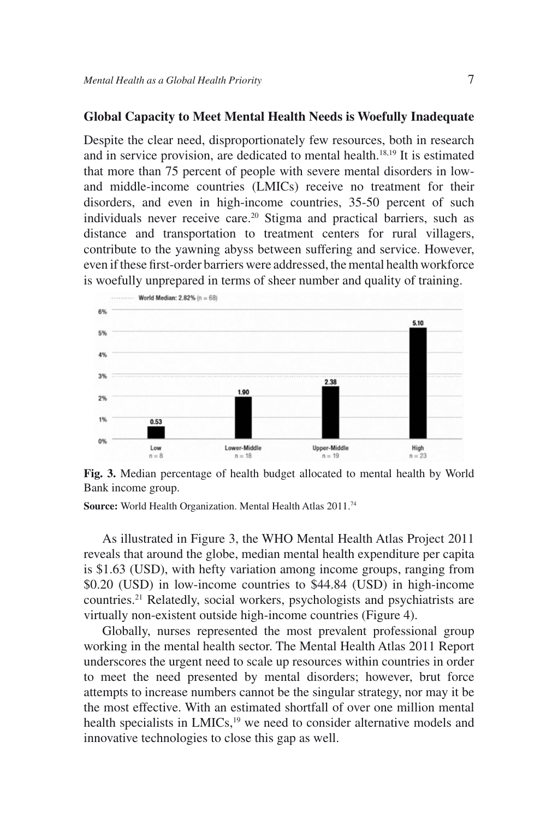#### **Global Capacity to Meet Mental Health Needs is Woefully Inadequate**

Despite the clear need, disproportionately few resources, both in research and in service provision, are dedicated to mental health.18,19 It is estimated that more than 75 percent of people with severe mental disorders in lowand middle-income countries (LMICs) receive no treatment for their disorders, and even in high-income countries, 35-50 percent of such individuals never receive care.<sup>20</sup> Stigma and practical barriers, such as distance and transportation to treatment centers for rural villagers, contribute to the yawning abyss between suffering and service. However, even if these first-order barriers were addressed, the mental health workforce is woefully unprepared in terms of sheer number and quality of training.



**Fig. 3.** Median percentage of health budget allocated to mental health by World Bank income group.

**Source:** World Health Organization. Mental Health Atlas 2011.74

As illustrated in Figure 3, the WHO Mental Health Atlas Project 2011 reveals that around the globe, median mental health expenditure per capita is \$1.63 (USD), with hefty variation among income groups, ranging from \$0.20 (USD) in low-income countries to \$44.84 (USD) in high-income countries.21 Relatedly, social workers, psychologists and psychiatrists are virtually non-existent outside high-income countries (Figure 4).

Globally, nurses represented the most prevalent professional group working in the mental health sector. The Mental Health Atlas 2011 Report underscores the urgent need to scale up resources within countries in order to meet the need presented by mental disorders; however, brut force attempts to increase numbers cannot be the singular strategy, nor may it be the most effective. With an estimated shortfall of over one million mental health specialists in LMICs,<sup>19</sup> we need to consider alternative models and innovative technologies to close this gap as well.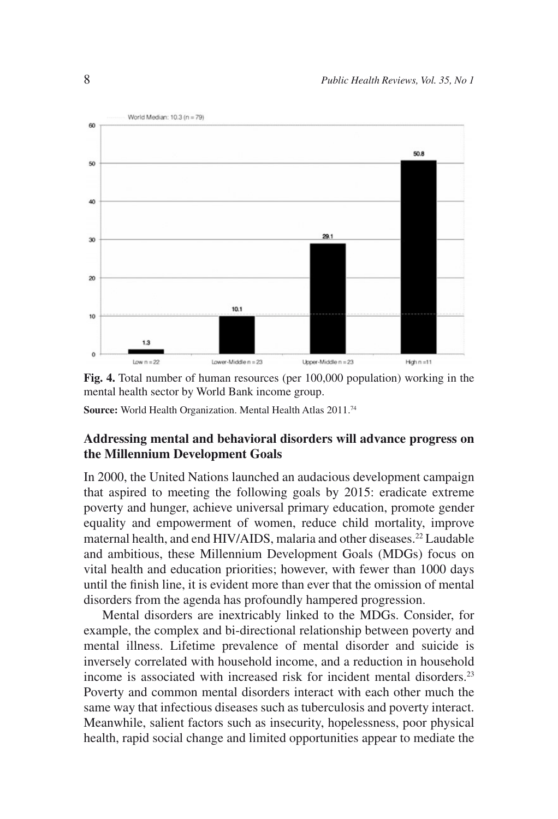

**Fig. 4.** Total number of human resources (per 100,000 population) working in the mental health sector by World Bank income group.

**Source:** World Health Organization. Mental Health Atlas 2011.74

# **Addressing mental and behavioral disorders will advance progress on the Millennium Development Goals**

In 2000, the United Nations launched an audacious development campaign that aspired to meeting the following goals by 2015: eradicate extreme poverty and hunger, achieve universal primary education, promote gender equality and empowerment of women, reduce child mortality, improve maternal health, and end HIV/AIDS, malaria and other diseases.<sup>22</sup> Laudable and ambitious, these Millennium Development Goals (MDGs) focus on vital health and education priorities; however, with fewer than 1000 days until the finish line, it is evident more than ever that the omission of mental disorders from the agenda has profoundly hampered progression.

Mental disorders are inextricably linked to the MDGs. Consider, for example, the complex and bi-directional relationship between poverty and mental illness. Lifetime prevalence of mental disorder and suicide is inversely correlated with household income, and a reduction in household income is associated with increased risk for incident mental disorders.23 Poverty and common mental disorders interact with each other much the same way that infectious diseases such as tuberculosis and poverty interact. Meanwhile, salient factors such as insecurity, hopelessness, poor physical health, rapid social change and limited opportunities appear to mediate the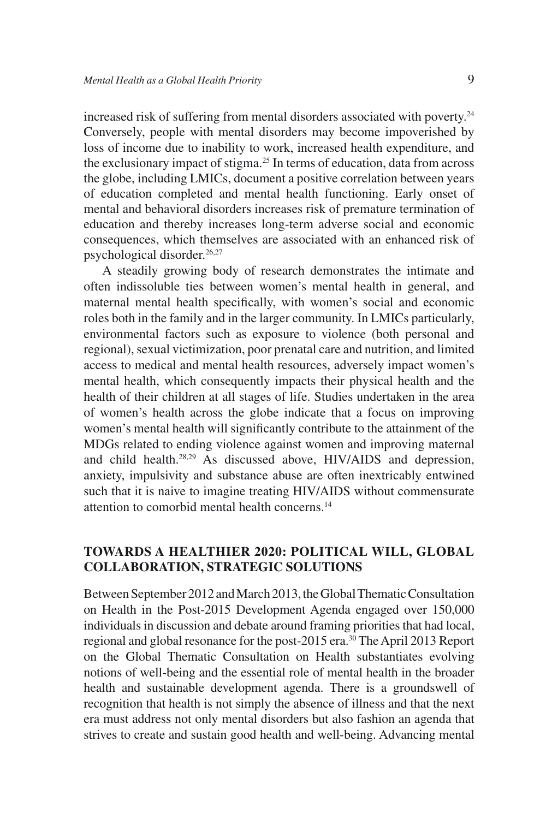increased risk of suffering from mental disorders associated with poverty.<sup>24</sup> Conversely, people with mental disorders may become impoverished by loss of income due to inability to work, increased health expenditure, and the exclusionary impact of stigma.<sup>25</sup> In terms of education, data from across the globe, including LMICs, document a positive correlation between years of education completed and mental health functioning. Early onset of mental and behavioral disorders increases risk of premature termination of education and thereby increases long-term adverse social and economic consequences, which themselves are associated with an enhanced risk of psychological disorder.26,27

A steadily growing body of research demonstrates the intimate and often indissoluble ties between women's mental health in general, and maternal mental health specifically, with women's social and economic roles both in the family and in the larger community. In LMICs particularly, environmental factors such as exposure to violence (both personal and regional), sexual victimization, poor prenatal care and nutrition, and limited access to medical and mental health resources, adversely impact women's mental health, which consequently impacts their physical health and the health of their children at all stages of life. Studies undertaken in the area of women's health across the globe indicate that a focus on improving women's mental health will significantly contribute to the attainment of the MDGs related to ending violence against women and improving maternal and child health.<sup>28,29</sup> As discussed above, HIV/AIDS and depression. anxiety, impulsivity and substance abuse are often inextricably entwined such that it is naive to imagine treating HIV/AIDS without commensurate attention to comorbid mental health concerns.14

### **TOWARDS A HEALTHIER 2020: POLITICAL WILL, GLOBAL COLLABORATION, STRATEGIC SOLUTIONS**

Between September 2012 and March 2013, the Global Thematic Consultation on Health in the Post-2015 Development Agenda engaged over 150,000 individuals in discussion and debate around framing priorities that had local, regional and global resonance for the post-2015 era.<sup>30</sup> The April 2013 Report on the Global Thematic Consultation on Health substantiates evolving notions of well-being and the essential role of mental health in the broader health and sustainable development agenda. There is a groundswell of recognition that health is not simply the absence of illness and that the next era must address not only mental disorders but also fashion an agenda that strives to create and sustain good health and well-being. Advancing mental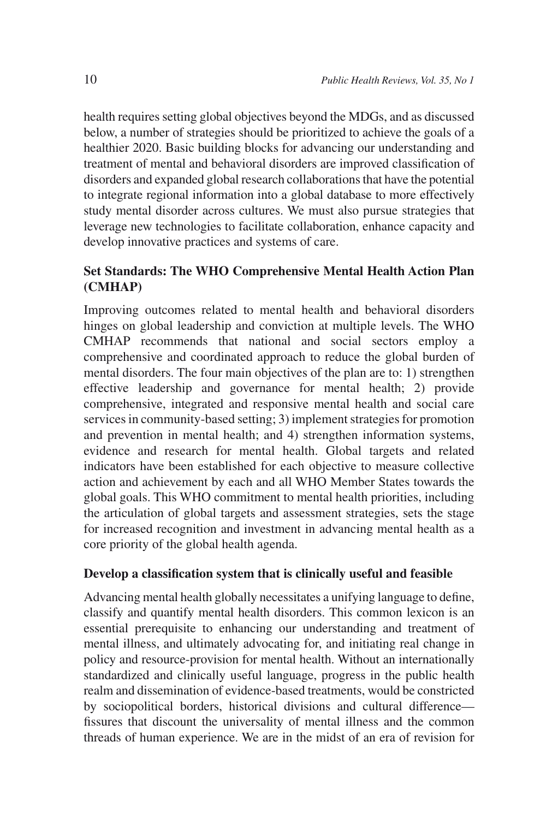health requires setting global objectives beyond the MDGs, and as discussed below, a number of strategies should be prioritized to achieve the goals of a healthier 2020. Basic building blocks for advancing our understanding and treatment of mental and behavioral disorders are improved classification of disorders and expanded global research collaborations that have the potential to integrate regional information into a global database to more effectively study mental disorder across cultures. We must also pursue strategies that leverage new technologies to facilitate collaboration, enhance capacity and develop innovative practices and systems of care.

# **Set Standards: The WHO Comprehensive Mental Health Action Plan (CMHAP)**

Improving outcomes related to mental health and behavioral disorders hinges on global leadership and conviction at multiple levels. The WHO CMHAP recommends that national and social sectors employ a comprehensive and coordinated approach to reduce the global burden of mental disorders. The four main objectives of the plan are to: 1) strengthen effective leadership and governance for mental health; 2) provide comprehensive, integrated and responsive mental health and social care services in community-based setting; 3) implement strategies for promotion and prevention in mental health; and 4) strengthen information systems, evidence and research for mental health. Global targets and related indicators have been established for each objective to measure collective action and achievement by each and all WHO Member States towards the global goals. This WHO commitment to mental health priorities, including the articulation of global targets and assessment strategies, sets the stage for increased recognition and investment in advancing mental health as a core priority of the global health agenda.

#### **Develop a classification system that is clinically useful and feasible**

Advancing mental health globally necessitates a unifying language to define, classify and quantify mental health disorders. This common lexicon is an essential prerequisite to enhancing our understanding and treatment of mental illness, and ultimately advocating for, and initiating real change in policy and resource-provision for mental health. Without an internationally standardized and clinically useful language, progress in the public health realm and dissemination of evidence-based treatments, would be constricted by sociopolitical borders, historical divisions and cultural difference fissures that discount the universality of mental illness and the common threads of human experience. We are in the midst of an era of revision for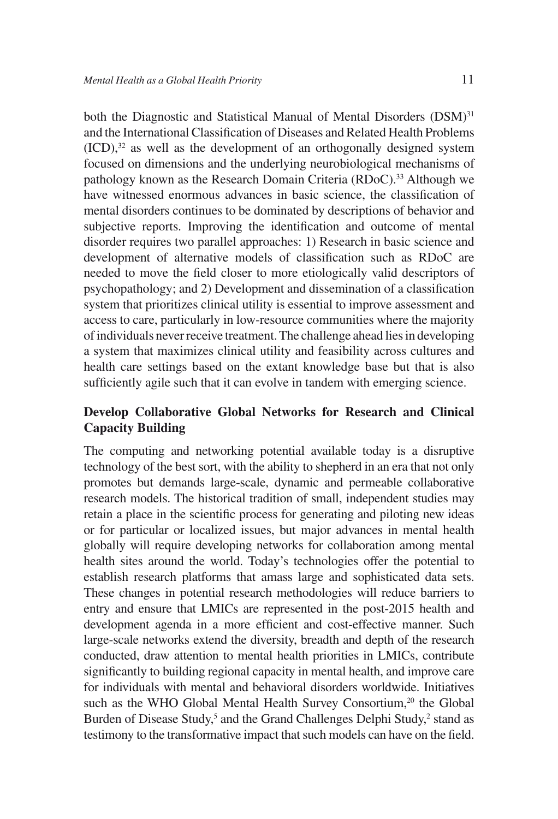both the Diagnostic and Statistical Manual of Mental Disorders (DSM)<sup>31</sup> and the International Classification of Diseases and Related Health Problems  $(ICD)$ ,<sup>32</sup> as well as the development of an orthogonally designed system focused on dimensions and the underlying neurobiological mechanisms of pathology known as the Research Domain Criteria (RDoC).<sup>33</sup> Although we have witnessed enormous advances in basic science, the classification of mental disorders continues to be dominated by descriptions of behavior and subjective reports. Improving the identification and outcome of mental disorder requires two parallel approaches: 1) Research in basic science and development of alternative models of classification such as RDoC are needed to move the field closer to more etiologically valid descriptors of psychopathology; and 2) Development and dissemination of a classification system that prioritizes clinical utility is essential to improve assessment and access to care, particularly in low-resource communities where the majority of individuals never receive treatment. The challenge ahead lies in developing a system that maximizes clinical utility and feasibility across cultures and health care settings based on the extant knowledge base but that is also sufficiently agile such that it can evolve in tandem with emerging science.

### **Develop Collaborative Global Networks for Research and Clinical Capacity Building**

The computing and networking potential available today is a disruptive technology of the best sort, with the ability to shepherd in an era that not only promotes but demands large-scale, dynamic and permeable collaborative research models. The historical tradition of small, independent studies may retain a place in the scientific process for generating and piloting new ideas or for particular or localized issues, but major advances in mental health globally will require developing networks for collaboration among mental health sites around the world. Today's technologies offer the potential to establish research platforms that amass large and sophisticated data sets. These changes in potential research methodologies will reduce barriers to entry and ensure that LMICs are represented in the post-2015 health and development agenda in a more efficient and cost-effective manner. Such large-scale networks extend the diversity, breadth and depth of the research conducted, draw attention to mental health priorities in LMICs, contribute significantly to building regional capacity in mental health, and improve care for individuals with mental and behavioral disorders worldwide. Initiatives such as the WHO Global Mental Health Survey Consortium,<sup>20</sup> the Global Burden of Disease Study,<sup>5</sup> and the Grand Challenges Delphi Study,<sup>2</sup> stand as testimony to the transformative impact that such models can have on the field.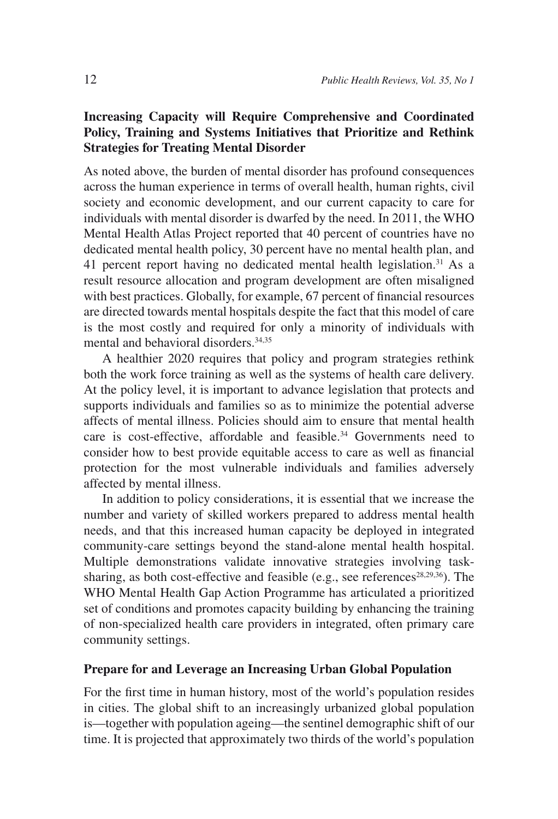# **Increasing Capacity will Require Comprehensive and Coordinated Policy, Training and Systems Initiatives that Prioritize and Rethink Strategies for Treating Mental Disorder**

As noted above, the burden of mental disorder has profound consequences across the human experience in terms of overall health, human rights, civil society and economic development, and our current capacity to care for individuals with mental disorder is dwarfed by the need. In 2011, the WHO Mental Health Atlas Project reported that 40 percent of countries have no dedicated mental health policy, 30 percent have no mental health plan, and 41 percent report having no dedicated mental health legislation.<sup>31</sup> As a result resource allocation and program development are often misaligned with best practices. Globally, for example, 67 percent of financial resources are directed towards mental hospitals despite the fact that this model of care is the most costly and required for only a minority of individuals with mental and behavioral disorders.34,35

A healthier 2020 requires that policy and program strategies rethink both the work force training as well as the systems of health care delivery. At the policy level, it is important to advance legislation that protects and supports individuals and families so as to minimize the potential adverse affects of mental illness. Policies should aim to ensure that mental health care is cost-effective, affordable and feasible.<sup>34</sup> Governments need to consider how to best provide equitable access to care as well as financial protection for the most vulnerable individuals and families adversely affected by mental illness.

In addition to policy considerations, it is essential that we increase the number and variety of skilled workers prepared to address mental health needs, and that this increased human capacity be deployed in integrated community-care settings beyond the stand-alone mental health hospital. Multiple demonstrations validate innovative strategies involving tasksharing, as both cost-effective and feasible (e.g., see references<sup>28,29,36</sup>). The WHO Mental Health Gap Action Programme has articulated a prioritized set of conditions and promotes capacity building by enhancing the training of non-specialized health care providers in integrated, often primary care community settings.

#### **Prepare for and Leverage an Increasing Urban Global Population**

For the first time in human history, most of the world's population resides in cities. The global shift to an increasingly urbanized global population is—together with population ageing—the sentinel demographic shift of our time. It is projected that approximately two thirds of the world's population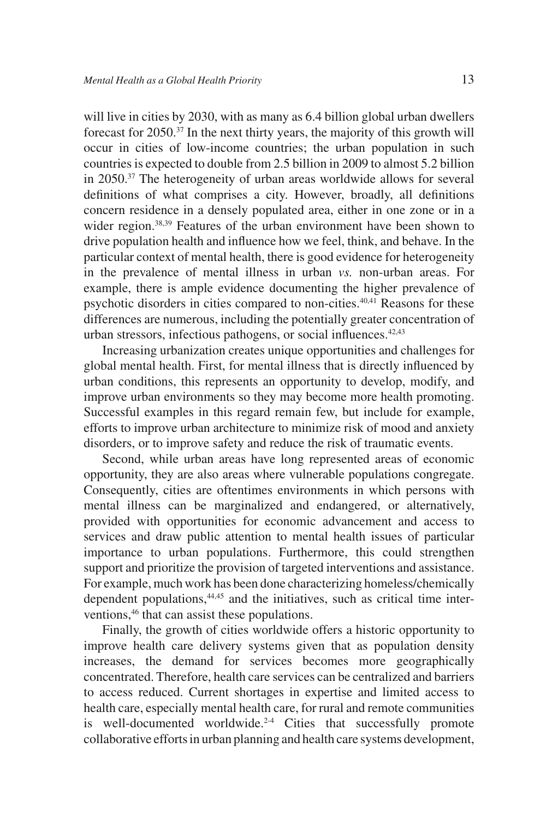will live in cities by 2030, with as many as 6.4 billion global urban dwellers forecast for  $2050^{37}$  In the next thirty years, the majority of this growth will occur in cities of low-income countries; the urban population in such countries is expected to double from 2.5 billion in 2009 to almost 5.2 billion in 2050.37 The heterogeneity of urban areas worldwide allows for several definitions of what comprises a city. However, broadly, all definitions concern residence in a densely populated area, either in one zone or in a wider region.<sup>38,39</sup> Features of the urban environment have been shown to drive population health and influence how we feel, think, and behave. In the particular context of mental health, there is good evidence for heterogeneity in the prevalence of mental illness in urban *vs.* non-urban areas. For example, there is ample evidence documenting the higher prevalence of psychotic disorders in cities compared to non-cities.40,41 Reasons for these differences are numerous, including the potentially greater concentration of urban stressors, infectious pathogens, or social influences. $42,43$ 

Increasing urbanization creates unique opportunities and challenges for global mental health. First, for mental illness that is directly influenced by urban conditions, this represents an opportunity to develop, modify, and improve urban environments so they may become more health promoting. Successful examples in this regard remain few, but include for example, efforts to improve urban architecture to minimize risk of mood and anxiety disorders, or to improve safety and reduce the risk of traumatic events.

Second, while urban areas have long represented areas of economic opportunity, they are also areas where vulnerable populations congregate. Consequently, cities are oftentimes environments in which persons with mental illness can be marginalized and endangered, or alternatively, provided with opportunities for economic advancement and access to services and draw public attention to mental health issues of particular importance to urban populations. Furthermore, this could strengthen support and prioritize the provision of targeted interventions and assistance. For example, much work has been done characterizing homeless/chemically dependent populations,<sup>44,45</sup> and the initiatives, such as critical time interventions,<sup>46</sup> that can assist these populations.

Finally, the growth of cities worldwide offers a historic opportunity to improve health care delivery systems given that as population density increases, the demand for services becomes more geographically concentrated. Therefore, health care services can be centralized and barriers to access reduced. Current shortages in expertise and limited access to health care, especially mental health care, for rural and remote communities is well-documented worldwide.<sup>2-4</sup> Cities that successfully promote collaborative efforts in urban planning and health care systems development,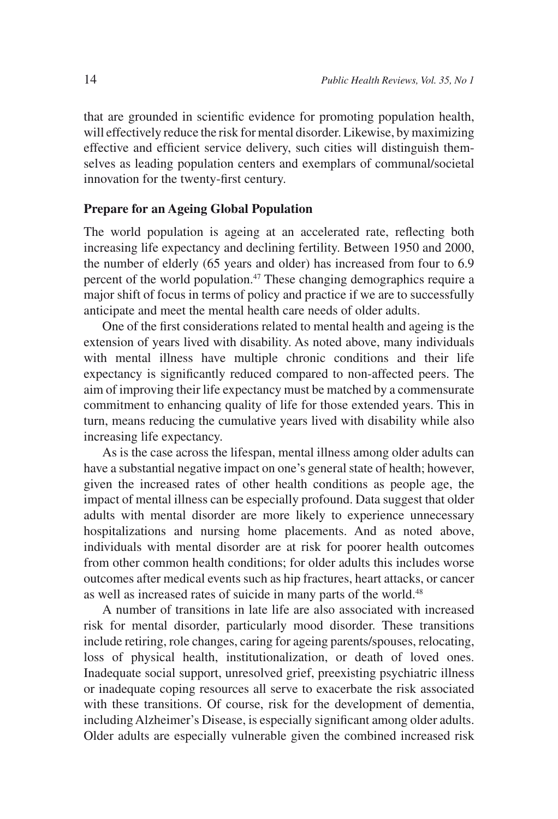that are grounded in scientific evidence for promoting population health, will effectively reduce the risk for mental disorder. Likewise, by maximizing effective and efficient service delivery, such cities will distinguish themselves as leading population centers and exemplars of communal/societal innovation for the twenty-first century.

#### **Prepare for an Ageing Global Population**

The world population is ageing at an accelerated rate, reflecting both increasing life expectancy and declining fertility. Between 1950 and 2000, the number of elderly (65 years and older) has increased from four to 6.9 percent of the world population.<sup>47</sup> These changing demographics require a major shift of focus in terms of policy and practice if we are to successfully anticipate and meet the mental health care needs of older adults.

One of the first considerations related to mental health and ageing is the extension of years lived with disability. As noted above, many individuals with mental illness have multiple chronic conditions and their life expectancy is significantly reduced compared to non-affected peers. The aim of improving their life expectancy must be matched by a commensurate commitment to enhancing quality of life for those extended years. This in turn, means reducing the cumulative years lived with disability while also increasing life expectancy.

As is the case across the lifespan, mental illness among older adults can have a substantial negative impact on one's general state of health; however, given the increased rates of other health conditions as people age, the impact of mental illness can be especially profound. Data suggest that older adults with mental disorder are more likely to experience unnecessary hospitalizations and nursing home placements. And as noted above, individuals with mental disorder are at risk for poorer health outcomes from other common health conditions; for older adults this includes worse outcomes after medical events such as hip fractures, heart attacks, or cancer as well as increased rates of suicide in many parts of the world.<sup>48</sup>

A number of transitions in late life are also associated with increased risk for mental disorder, particularly mood disorder. These transitions include retiring, role changes, caring for ageing parents/spouses, relocating, loss of physical health, institutionalization, or death of loved ones. Inadequate social support, unresolved grief, preexisting psychiatric illness or inadequate coping resources all serve to exacerbate the risk associated with these transitions. Of course, risk for the development of dementia, including Alzheimer's Disease, is especially significant among older adults. Older adults are especially vulnerable given the combined increased risk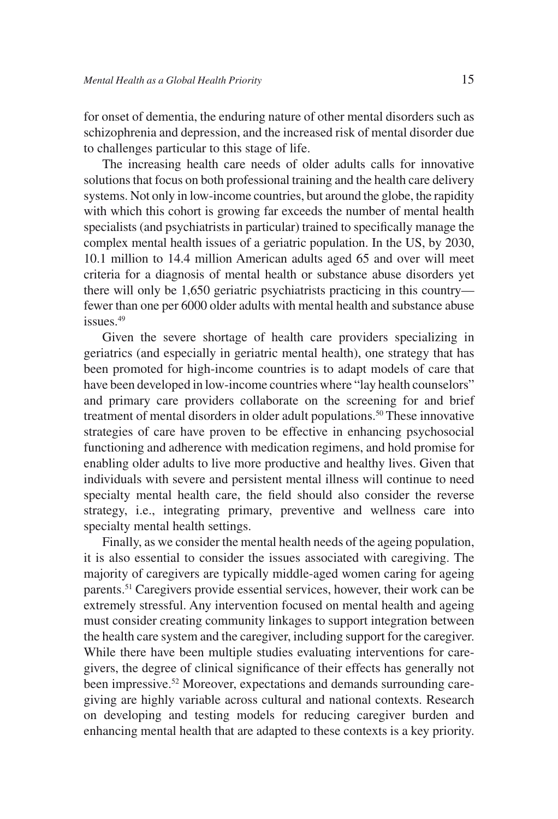for onset of dementia, the enduring nature of other mental disorders such as schizophrenia and depression, and the increased risk of mental disorder due to challenges particular to this stage of life.

The increasing health care needs of older adults calls for innovative solutions that focus on both professional training and the health care delivery systems. Not only in low-income countries, but around the globe, the rapidity with which this cohort is growing far exceeds the number of mental health specialists (and psychiatrists in particular) trained to specifically manage the complex mental health issues of a geriatric population. In the US, by 2030, 10.1 million to 14.4 million American adults aged 65 and over will meet criteria for a diagnosis of mental health or substance abuse disorders yet there will only be 1,650 geriatric psychiatrists practicing in this country fewer than one per 6000 older adults with mental health and substance abuse issues.49

Given the severe shortage of health care providers specializing in geriatrics (and especially in geriatric mental health), one strategy that has been promoted for high-income countries is to adapt models of care that have been developed in low-income countries where "lay health counselors" and primary care providers collaborate on the screening for and brief treatment of mental disorders in older adult populations.50 These innovative strategies of care have proven to be effective in enhancing psychosocial functioning and adherence with medication regimens, and hold promise for enabling older adults to live more productive and healthy lives. Given that individuals with severe and persistent mental illness will continue to need specialty mental health care, the field should also consider the reverse strategy, i.e., integrating primary, preventive and wellness care into specialty mental health settings.

Finally, as we consider the mental health needs of the ageing population, it is also essential to consider the issues associated with caregiving. The majority of caregivers are typically middle-aged women caring for ageing parents.51 Caregivers provide essential services, however, their work can be extremely stressful. Any intervention focused on mental health and ageing must consider creating community linkages to support integration between the health care system and the caregiver, including support for the caregiver. While there have been multiple studies evaluating interventions for caregivers, the degree of clinical significance of their effects has generally not been impressive.52 Moreover, expectations and demands surrounding caregiving are highly variable across cultural and national contexts. Research on developing and testing models for reducing caregiver burden and enhancing mental health that are adapted to these contexts is a key priority.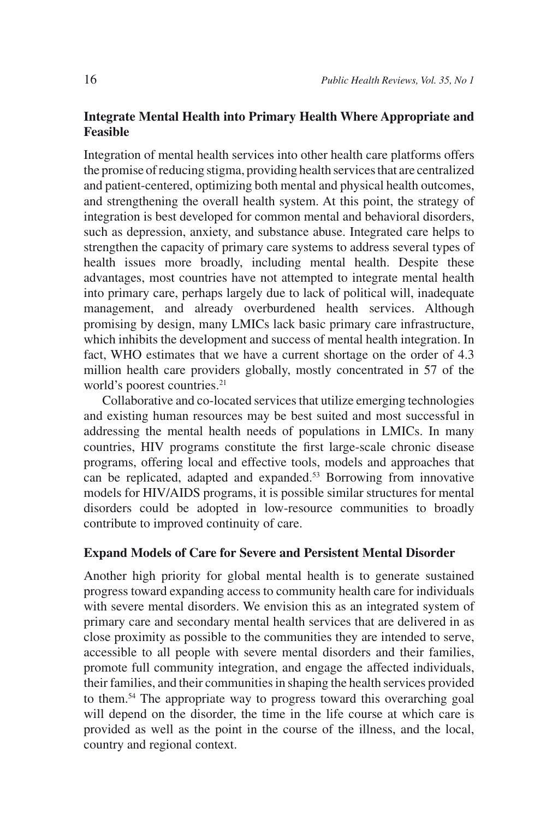# **Integrate Mental Health into Primary Health Where Appropriate and Feasible**

Integration of mental health services into other health care platforms offers the promise of reducing stigma, providing health services that are centralized and patient-centered, optimizing both mental and physical health outcomes, and strengthening the overall health system. At this point, the strategy of integration is best developed for common mental and behavioral disorders, such as depression, anxiety, and substance abuse. Integrated care helps to strengthen the capacity of primary care systems to address several types of health issues more broadly, including mental health. Despite these advantages, most countries have not attempted to integrate mental health into primary care, perhaps largely due to lack of political will, inadequate management, and already overburdened health services. Although promising by design, many LMICs lack basic primary care infrastructure, which inhibits the development and success of mental health integration. In fact, WHO estimates that we have a current shortage on the order of 4.3 million health care providers globally, mostly concentrated in 57 of the world's poorest countries.<sup>21</sup>

Collaborative and co-located services that utilize emerging technologies and existing human resources may be best suited and most successful in addressing the mental health needs of populations in LMICs. In many countries, HIV programs constitute the first large-scale chronic disease programs, offering local and effective tools, models and approaches that can be replicated, adapted and expanded.<sup>53</sup> Borrowing from innovative models for HIV/AIDS programs, it is possible similar structures for mental disorders could be adopted in low-resource communities to broadly contribute to improved continuity of care.

#### **Expand Models of Care for Severe and Persistent Mental Disorder**

Another high priority for global mental health is to generate sustained progress toward expanding access to community health care for individuals with severe mental disorders. We envision this as an integrated system of primary care and secondary mental health services that are delivered in as close proximity as possible to the communities they are intended to serve, accessible to all people with severe mental disorders and their families, promote full community integration, and engage the affected individuals, their families, and their communities in shaping the health services provided to them.54 The appropriate way to progress toward this overarching goal will depend on the disorder, the time in the life course at which care is provided as well as the point in the course of the illness, and the local, country and regional context.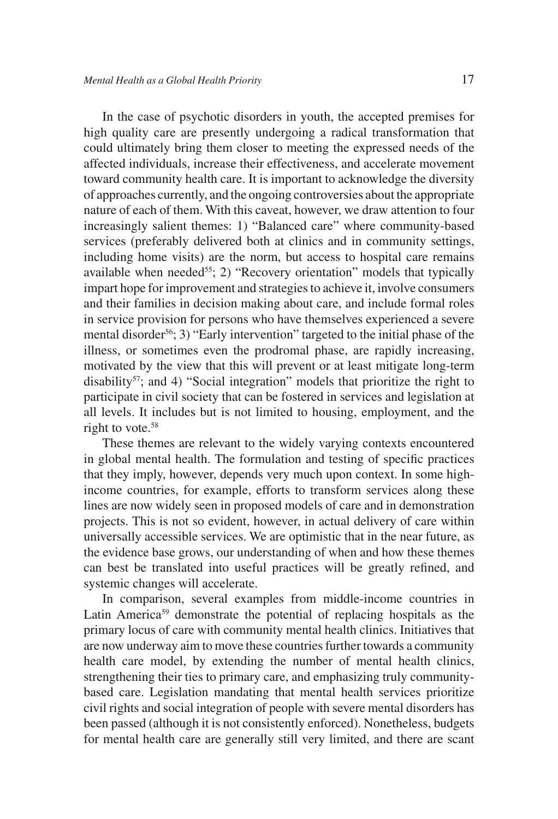In the case of psychotic disorders in youth, the accepted premises for high quality care are presently undergoing a radical transformation that could ultimately bring them closer to meeting the expressed needs of the affected individuals, increase their effectiveness, and accelerate movement toward community health care. It is important to acknowledge the diversity of approaches currently, and the ongoing controversies about the appropriate nature of each of them. With this caveat, however, we draw attention to four increasingly salient themes: 1) "Balanced care" where community-based services (preferably delivered both at clinics and in community settings, including home visits) are the norm, but access to hospital care remains available when needed<sup>55</sup>; 2) "Recovery orientation" models that typically impart hope for improvement and strategies to achieve it, involve consumers and their families in decision making about care, and include formal roles in service provision for persons who have themselves experienced a severe mental disorder<sup>56</sup>; 3) "Early intervention" targeted to the initial phase of the illness, or sometimes even the prodromal phase, are rapidly increasing, motivated by the view that this will prevent or at least mitigate long-term disability<sup>57</sup>; and 4) "Social integration" models that prioritize the right to participate in civil society that can be fostered in services and legislation at all levels. It includes but is not limited to housing, employment, and the right to vote.<sup>58</sup>

These themes are relevant to the widely varying contexts encountered in global mental health. The formulation and testing of specific practices that they imply, however, depends very much upon context. In some highincome countries, for example, efforts to transform services along these lines are now widely seen in proposed models of care and in demonstration projects. This is not so evident, however, in actual delivery of care within universally accessible services. We are optimistic that in the near future, as the evidence base grows, our understanding of when and how these themes can best be translated into useful practices will be greatly refined, and systemic changes will accelerate.

In comparison, several examples from middle-income countries in Latin America<sup>59</sup> demonstrate the potential of replacing hospitals as the primary locus of care with community mental health clinics. Initiatives that are now underway aim to move these countries further towards a community health care model, by extending the number of mental health clinics, strengthening their ties to primary care, and emphasizing truly communitybased care. Legislation mandating that mental health services prioritize civil rights and social integration of people with severe mental disorders has been passed (although it is not consistently enforced). Nonetheless, budgets for mental health care are generally still very limited, and there are scant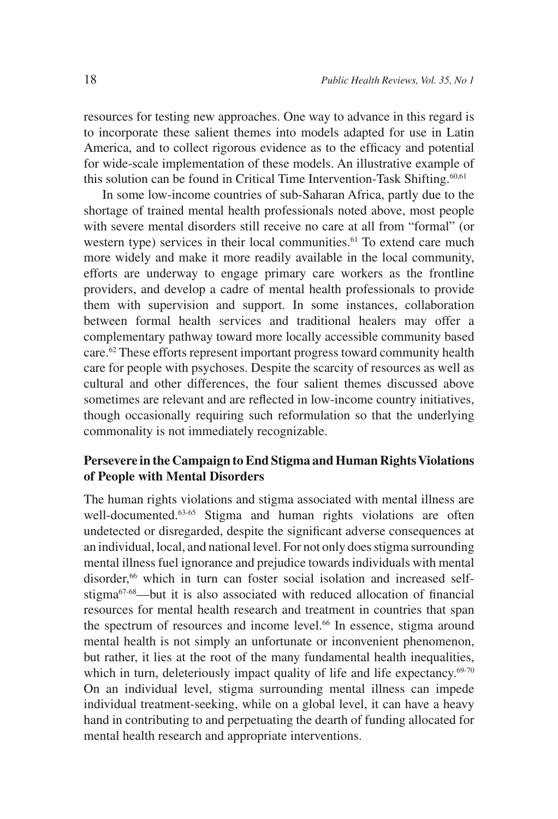resources for testing new approaches. One way to advance in this regard is to incorporate these salient themes into models adapted for use in Latin America, and to collect rigorous evidence as to the efficacy and potential for wide-scale implementation of these models. An illustrative example of this solution can be found in Critical Time Intervention-Task Shifting.60,61

In some low-income countries of sub-Saharan Africa, partly due to the shortage of trained mental health professionals noted above, most people with severe mental disorders still receive no care at all from "formal" (or western type) services in their local communities.<sup>61</sup> To extend care much more widely and make it more readily available in the local community, efforts are underway to engage primary care workers as the frontline providers, and develop a cadre of mental health professionals to provide them with supervision and support. In some instances, collaboration between formal health services and traditional healers may offer a complementary pathway toward more locally accessible community based care.62 These efforts represent important progress toward community health care for people with psychoses. Despite the scarcity of resources as well as cultural and other differences, the four salient themes discussed above sometimes are relevant and are reflected in low-income country initiatives, though occasionally requiring such reformulation so that the underlying commonality is not immediately recognizable.

### **Persevere in the Campaign to End Stigma and Human Rights Violations of People with Mental Disorders**

The human rights violations and stigma associated with mental illness are well-documented.<sup>63-65</sup> Stigma and human rights violations are often undetected or disregarded, despite the significant adverse consequences at an individual, local, and national level. For not only does stigma surrounding mental illness fuel ignorance and prejudice towards individuals with mental disorder,<sup>66</sup> which in turn can foster social isolation and increased selfstigma<sup>67-68</sup>—but it is also associated with reduced allocation of financial resources for mental health research and treatment in countries that span the spectrum of resources and income level.<sup>66</sup> In essence, stigma around mental health is not simply an unfortunate or inconvenient phenomenon, but rather, it lies at the root of the many fundamental health inequalities, which in turn, deleteriously impact quality of life and life expectancy.<sup>69-70</sup> On an individual level, stigma surrounding mental illness can impede individual treatment-seeking, while on a global level, it can have a heavy hand in contributing to and perpetuating the dearth of funding allocated for mental health research and appropriate interventions.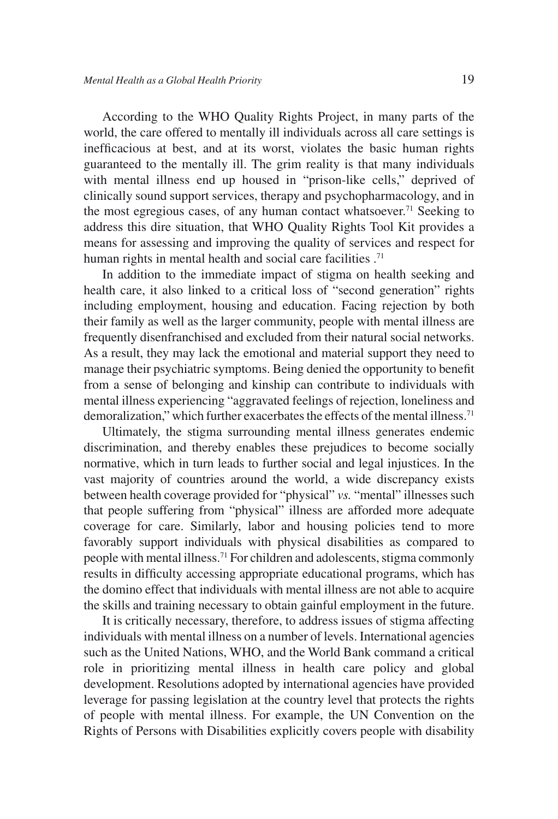According to the WHO Quality Rights Project, in many parts of the world, the care offered to mentally ill individuals across all care settings is inefficacious at best, and at its worst, violates the basic human rights guaranteed to the mentally ill. The grim reality is that many individuals with mental illness end up housed in "prison-like cells," deprived of clinically sound support services, therapy and psychopharmacology, and in the most egregious cases, of any human contact whatsoever.71 Seeking to address this dire situation, that WHO Quality Rights Tool Kit provides a means for assessing and improving the quality of services and respect for human rights in mental health and social care facilities .<sup>71</sup>

In addition to the immediate impact of stigma on health seeking and health care, it also linked to a critical loss of "second generation" rights including employment, housing and education. Facing rejection by both their family as well as the larger community, people with mental illness are frequently disenfranchised and excluded from their natural social networks. As a result, they may lack the emotional and material support they need to manage their psychiatric symptoms. Being denied the opportunity to benefit from a sense of belonging and kinship can contribute to individuals with mental illness experiencing "aggravated feelings of rejection, loneliness and demoralization," which further exacerbates the effects of the mental illness.<sup>71</sup>

Ultimately, the stigma surrounding mental illness generates endemic discrimination, and thereby enables these prejudices to become socially normative, which in turn leads to further social and legal injustices. In the vast majority of countries around the world, a wide discrepancy exists between health coverage provided for "physical" *vs.* "mental" illnesses such that people suffering from "physical" illness are afforded more adequate coverage for care. Similarly, labor and housing policies tend to more favorably support individuals with physical disabilities as compared to people with mental illness.71 For children and adolescents, stigma commonly results in difficulty accessing appropriate educational programs, which has the domino effect that individuals with mental illness are not able to acquire the skills and training necessary to obtain gainful employ ment in the future.

It is critically necessary, therefore, to address issues of stigma affecting individuals with mental illness on a number of levels. International agencies such as the United Nations, WHO, and the World Bank command a critical role in prioritizing mental illness in health care policy and global development. Resolutions adopted by international agencies have provided leverage for passing legislation at the country level that protects the rights of people with mental illness. For example, the UN Convention on the Rights of Persons with Disabilities explicitly covers people with disability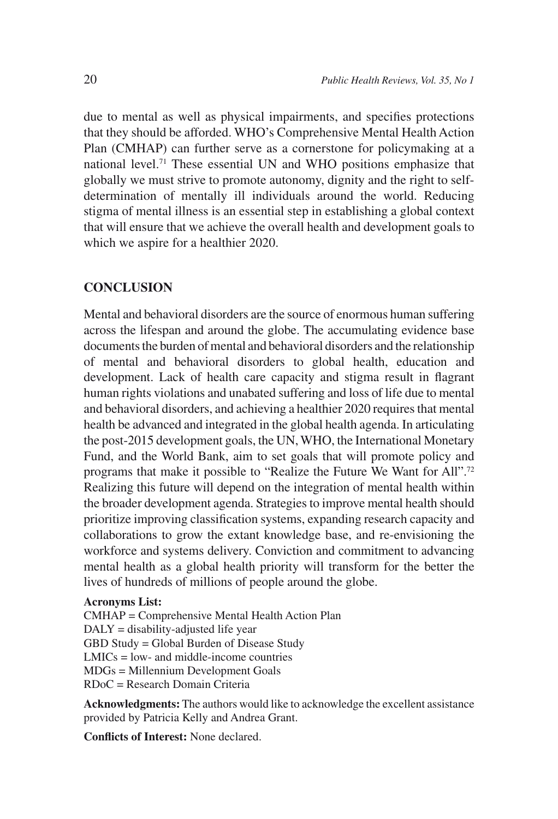due to mental as well as physical impairments, and specifies protections that they should be afforded. WHO's Comprehensive Mental Health Action Plan (CMHAP) can further serve as a cornerstone for policymaking at a national level.71 These essential UN and WHO positions emphasize that globally we must strive to promote autonomy, dignity and the right to selfdetermination of mentally ill individuals around the world. Reducing stigma of mental illness is an essential step in establishing a global context that will ensure that we achieve the overall health and development goals to which we aspire for a healthier 2020.

### **CONCLUSION**

Mental and behavioral disorders are the source of enormous human suffering across the lifespan and around the globe. The accumulating evidence base documents the burden of mental and behavioral disorders and the relationship of mental and behavioral disorders to global health, education and development. Lack of health care capacity and stigma result in flagrant human rights violations and unabated suffering and loss of life due to mental and behavioral disorders, and achieving a healthier 2020 requires that mental health be advanced and integrated in the global health agenda. In articulating the post-2015 development goals, the UN, WHO, the International Monetary Fund, and the World Bank, aim to set goals that will promote policy and programs that make it possible to "Realize the Future We Want for All".<sup>72</sup> Realizing this future will depend on the integration of mental health within the broader development agenda. Strategies to improve mental health should prioritize improving classification systems, expanding research capacity and collaborations to grow the extant knowledge base, and re-envisioning the workforce and systems delivery. Conviction and commitment to advancing mental health as a global health priority will transform for the better the lives of hundreds of millions of people around the globe.

#### **Acronyms List:**

CMHAP = Comprehensive Mental Health Action Plan DALY = disability-adjusted life year GBD Study = Global Burden of Disease Study  $LMICs = low-$  and middle-income countries MDGs = Millennium Development Goals RDoC = Research Domain Criteria

**Acknowledgments:** The authors would like to acknowledge the excellent assistance provided by Patricia Kelly and Andrea Grant.

**Conflicts of Interest:** None declared.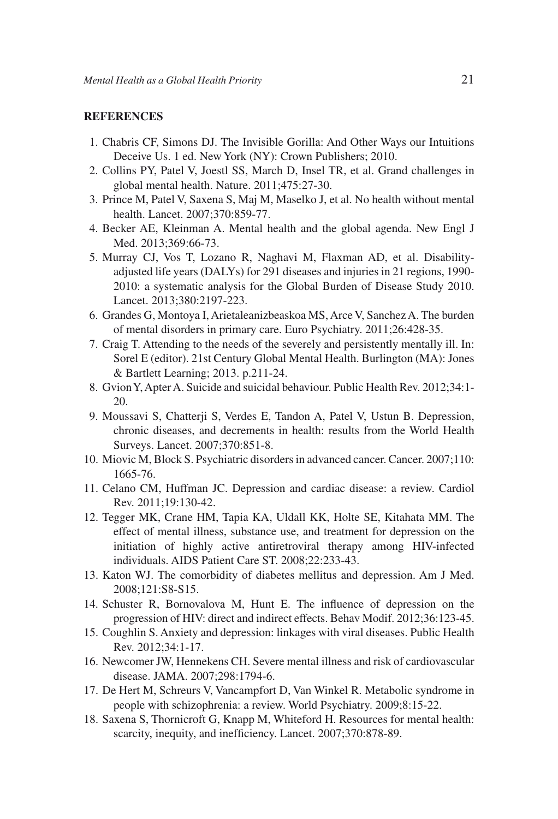#### **REFERENCES**

- 1. Chabris CF, Simons DJ. The Invisible Gorilla: And Other Ways our Intuitions Deceive Us. 1 ed. New York (NY): Crown Publishers; 2010.
- 2. Collins PY, Patel V, Joestl SS, March D, Insel TR, et al. Grand challenges in global mental health. Nature. 2011;475:27-30.
- 3. Prince M, Patel V, Saxena S, Maj M, Maselko J, et al. No health without mental health. Lancet. 2007;370:859-77.
- 4. Becker AE, Kleinman A. Mental health and the global agenda. New Engl J Med. 2013:369:66-73.
- 5. Murray CJ, Vos T, Lozano R, Naghavi M, Flaxman AD, et al. Disabilityadjusted life years (DALYs) for 291 diseases and injuries in 21 regions, 1990- 2010: a systematic analysis for the Global Burden of Disease Study 2010. Lancet. 2013;380:2197-223.
- 6. Grandes G, Montoya I, Arietaleanizbeaskoa MS, Arce V, Sanchez A. The burden of mental disorders in primary care. Euro Psychiatry. 2011;26:428-35.
- 7. Craig T. Attending to the needs of the severely and persistently mentally ill. In: Sorel E (editor). 21st Century Global Mental Health. Burlington (MA): Jones & Bartlett Learning; 2013. p.211-24.
- 8. Gvion Y, Apter A. Suicide and suicidal behaviour. Public Health Rev. 2012;34:1- 20.
- 9. Moussavi S, Chatterji S, Verdes E, Tandon A, Patel V, Ustun B. Depression, chronic diseases, and decrements in health: results from the World Health Surveys. Lancet. 2007;370:851-8.
- 10. Miovic M, Block S. Psychiatric disorders in advanced cancer. Cancer. 2007;110: 1665-76.
- 11. Celano CM, Huffman JC. Depression and cardiac disease: a review. Cardiol Rev. 2011;19:130-42.
- 12. Tegger MK, Crane HM, Tapia KA, Uldall KK, Holte SE, Kitahata MM. The effect of mental illness, substance use, and treatment for depression on the initiation of highly active antiretroviral therapy among HIV-infected individuals. AIDS Patient Care ST. 2008;22:233-43.
- 13. Katon WJ. The comorbidity of diabetes mellitus and depression. Am J Med. 2008;121:S8-S15.
- 14. Schuster R, Bornovalova M, Hunt E. The influence of depression on the progression of HIV: direct and indirect effects. Behav Modif. 2012;36:123-45.
- 15. Coughlin S. Anxiety and depression: linkages with viral diseases. Public Health Rev. 2012;34:1-17.
- 16. Newcomer JW, Hennekens CH. Severe mental illness and risk of cardiovascular disease. JAMA. 2007;298:1794-6.
- 17. De Hert M, Schreurs V, Vancampfort D, Van Winkel R. Metabolic syndrome in people with schizophrenia: a review. World Psychiatry. 2009;8:15-22.
- 18. Saxena S, Thornicroft G, Knapp M, Whiteford H. Resources for mental health: scarcity, inequity, and inefficiency. Lancet. 2007;370:878-89.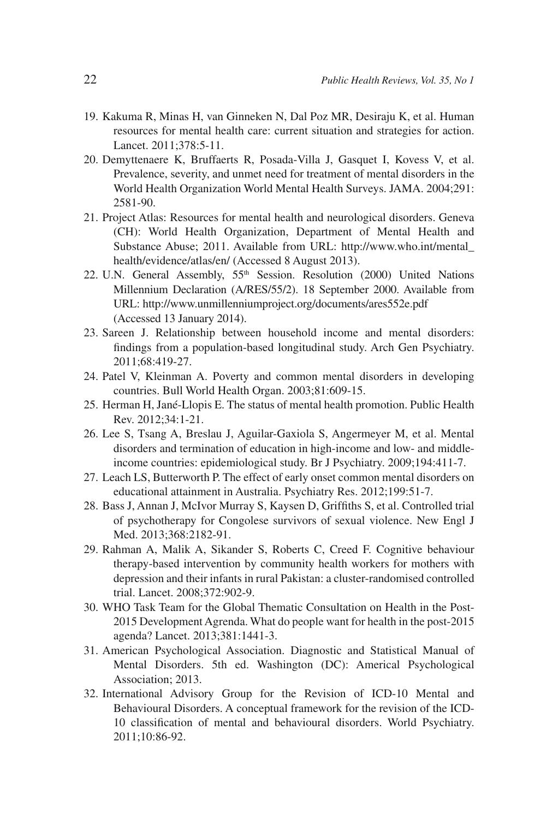- 19. Kakuma R, Minas H, van Ginneken N, Dal Poz MR, Desiraju K, et al. Human resources for mental health care: current situation and strategies for action. Lancet. 2011;378:5-11.
- 20. Demyttenaere K, Bruffaerts R, Posada-Villa J, Gasquet I, Kovess V, et al. Prevalence, severity, and unmet need for treatment of mental disorders in the World Health Organization World Mental Health Surveys. JAMA. 2004;291: 2581-90.
- 21. Project Atlas: Resources for mental health and neurological disorders. Geneva (CH): World Health Organization, Department of Mental Health and Substance Abuse; 2011. Available from URL: http://www.who.int/mental\_ health/evidence/atlas/en/ (Accessed 8 August 2013).
- 22. U.N. General Assembly, 55<sup>th</sup> Session. Resolution (2000) United Nations Millennium Declaration (A/RES/55/2). 18 September 2000. Available from URL: http://www.unmillenniumproject.org/documents/ares552e.pdf (Accessed 13 January 2014).
- 23. Sareen J. Relationship between household income and mental disorders: findings from a population-based longitudinal study. Arch Gen Psychiatry. 2011;68:419-27.
- 24. Patel V, Kleinman A. Poverty and common mental disorders in developing countries. Bull World Health Organ. 2003;81:609-15.
- 25. Herman H, Jané-Llopis E. The status of mental health promotion. Public Health Rev. 2012;34:1-21.
- 26. Lee S, Tsang A, Breslau J, Aguilar-Gaxiola S, Angermeyer M, et al. Mental disorders and termination of education in high-income and low- and middleincome countries: epidemiological study. Br J Psychiatry. 2009;194:411-7.
- 27. Leach LS, Butterworth P. The effect of early onset common mental disorders on educational attainment in Australia. Psychiatry Res. 2012;199:51-7.
- 28. Bass J, Annan J, McIvor Murray S, Kaysen D, Griffiths S, et al. Controlled trial of psychotherapy for Congolese survivors of sexual violence. New Engl J Med. 2013;368:2182-91.
- 29. Rahman A, Malik A, Sikander S, Roberts C, Creed F. Cognitive behaviour therapy-based intervention by community health workers for mothers with depression and their infants in rural Pakistan: a cluster-randomised controlled trial. Lancet. 2008;372:902-9.
- 30. WHO Task Team for the Global Thematic Consultation on Health in the Post-2015 Development Agrenda. What do people want for health in the post-2015 agenda? Lancet. 2013;381:1441-3.
- 31. American Psychological Association. Diagnostic and Statistical Manual of Mental Disorders. 5th ed. Washington (DC): Americal Psychological Association; 2013.
- 32. International Advisory Group for the Revision of ICD-10 Mental and Behavioural Disorders. A conceptual framework for the revision of the ICD-10 classification of mental and behavioural disorders. World Psychiatry. 2011;10:86-92.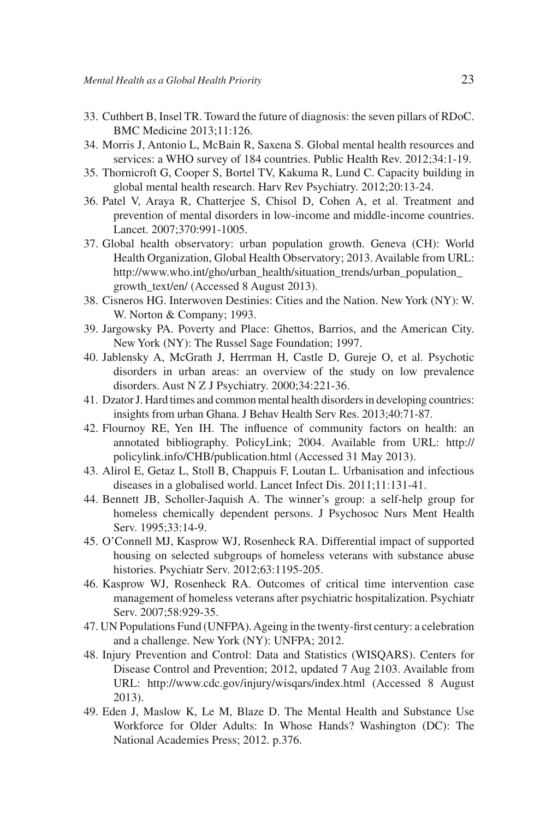- 33. Cuthbert B, Insel TR. Toward the future of diagnosis: the seven pillars of RDoC. BMC Medicine 2013;11:126.
- 34. Morris J, Antonio L, McBain R, Saxena S. Global mental health resources and services: a WHO survey of 184 countries. Public Health Rev. 2012;34:1-19.
- 35. Thornicroft G, Cooper S, Bortel TV, Kakuma R, Lund C. Capacity building in global mental health research. Harv Rev Psychiatry. 2012;20:13-24.
- 36. Patel V, Araya R, Chatterjee S, Chisol D, Cohen A, et al. Treatment and prevention of mental disorders in low-income and middle-income countries. Lancet. 2007;370:991-1005.
- 37. Global health observatory: urban population growth. Geneva (CH): World Health Organization, Global Health Observatory; 2013. Available from URL: http://www.who.int/gho/urban\_health/situation\_trends/urban\_population\_ growth\_text/en/ (Accessed 8 August 2013).
- 38. Cisneros HG. Interwoven Destinies: Cities and the Nation. New York (NY): W. W. Norton & Company; 1993.
- 39. Jargowsky PA. Poverty and Place: Ghettos, Barrios, and the American City. New York (NY): The Russel Sage Foundation; 1997.
- 40. Jablensky A, McGrath J, Herrman H, Castle D, Gureje O, et al. Psychotic disorders in urban areas: an overview of the study on low prevalence disorders. Aust N Z J Psychiatry. 2000;34:221-36.
- 41. Dzator J. Hard times and common mental health disorders in developing countries: insights from urban Ghana. J Behav Health Serv Res. 2013;40:71-87.
- 42. Flournoy RE, Yen IH. The influence of community factors on health: an annotated bibliography. PolicyLink; 2004. Available from URL: http:// policylink.info/CHB/publication.html (Accessed 31 May 2013).
- 43. Alirol E, Getaz L, Stoll B, Chappuis F, Loutan L. Urbanisation and infectious diseases in a globalised world. Lancet Infect Dis. 2011;11:131-41.
- 44. Bennett JB, Scholler-Jaquish A. The winner's group: a self-help group for homeless chemically dependent persons. J Psychosoc Nurs Ment Health Serv. 1995;33:14-9.
- 45. O'Connell MJ, Kasprow WJ, Rosenheck RA. Differential impact of supported housing on selected subgroups of homeless veterans with substance abuse histories. Psychiatr Serv. 2012;63:1195-205.
- 46. Kasprow WJ, Rosenheck RA. Outcomes of critical time intervention case management of homeless veterans after psychiatric hospitalization. Psychiatr Serv. 2007;58:929-35.
- 47. UN Populations Fund (UNFPA). Ageing in the twenty-first century: a celebration and a challenge. New York (NY): UNFPA; 2012.
- 48. Injury Prevention and Control: Data and Statistics (WISQARS). Centers for Disease Control and Prevention; 2012, updated 7 Aug 2103. Available from URL: http://www.cdc.gov/injury/wisqars/index.html (Accessed 8 August 2013).
- 49. Eden J, Maslow K, Le M, Blaze D. The Mental Health and Substance Use Workforce for Older Adults: In Whose Hands? Washington (DC): The National Academies Press; 2012. p.376.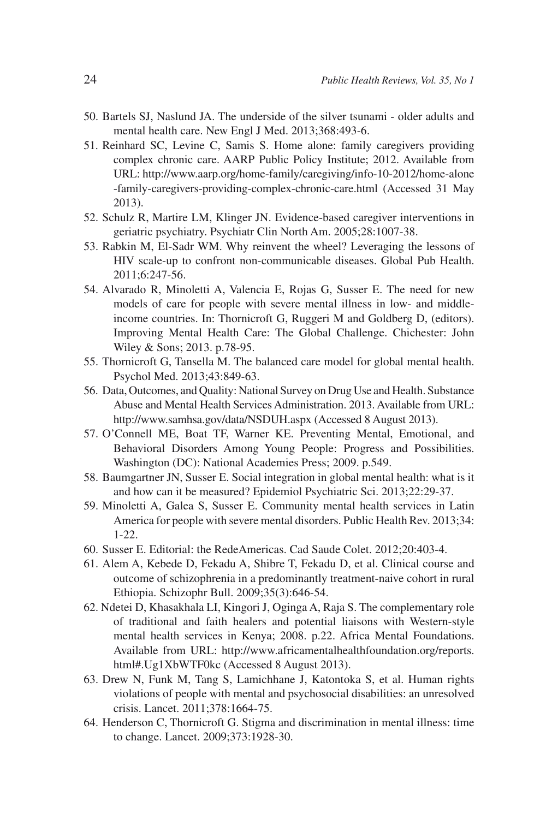- 50. Bartels SJ, Naslund JA. The underside of the silver tsunami older adults and mental health care. New Engl J Med. 2013;368:493-6.
- 51. Reinhard SC, Levine C, Samis S. Home alone: family caregivers providing complex chronic care. AARP Public Policy Institute; 2012. Available from URL: http://www.aarp.org/home-family/caregiving/info-10-2012/home-alone -family-caregivers-providing-complex-chronic-care.html (Accessed 31 May 2013).
- 52. Schulz R, Martire LM, Klinger JN. Evidence-based caregiver interventions in geriatric psychiatry. Psychiatr Clin North Am. 2005;28:1007-38.
- 53. Rabkin M, El-Sadr WM. Why reinvent the wheel? Leveraging the lessons of HIV scale-up to confront non-communicable diseases. Global Pub Health. 2011;6:247-56.
- 54. Alvarado R, Minoletti A, Valencia E, Rojas G, Susser E. The need for new models of care for people with severe mental illness in low- and middleincome countries. In: Thornicroft G, Ruggeri M and Goldberg D, (editors). Improving Mental Health Care: The Global Challenge. Chichester: John Wiley & Sons; 2013. p.78-95.
- 55. Thornicroft G, Tansella M. The balanced care model for global mental health. Psychol Med. 2013;43:849-63.
- 56. Data, Outcomes, and Quality: National Survey on Drug Use and Health. Substance Abuse and Mental Health Services Administration. 2013. Available from URL: http://www.samhsa.gov/data/NSDUH.aspx (Accessed 8 August 2013).
- 57. O'Connell ME, Boat TF, Warner KE. Preventing Mental, Emotional, and Behavioral Disorders Among Young People: Progress and Possibilities. Washington (DC): National Academies Press; 2009. p.549.
- 58. Baumgartner JN, Susser E. Social integration in global mental health: what is it and how can it be measured? Epidemiol Psychiatric Sci. 2013;22:29-37.
- 59. Minoletti A, Galea S, Susser E. Community mental health services in Latin America for people with severe mental disorders. Public Health Rev. 2013;34: 1-22.
- 60. Susser E. Editorial: the RedeAmericas. Cad Saude Colet. 2012;20:403-4.
- 61. Alem A, Kebede D, Fekadu A, Shibre T, Fekadu D, et al. Clinical course and outcome of schizophrenia in a predominantly treatment-naive cohort in rural Ethiopia. Schizophr Bull. 2009;35(3):646-54.
- 62. Ndetei D, Khasakhala LI, Kingori J, Oginga A, Raja S. The complementary role of traditional and faith healers and potential liaisons with Western-style mental health services in Kenya; 2008. p.22. Africa Mental Foundations. Available from URL: http://www.africamentalhealthfoundation.org/reports. html#.Ug1XbWTF0kc (Accessed 8 August 2013).
- 63. Drew N, Funk M, Tang S, Lamichhane J, Katontoka S, et al. Human rights violations of people with mental and psychosocial disabilities: an unresolved crisis. Lancet. 2011;378:1664-75.
- 64. Henderson C, Thornicroft G. Stigma and discrimination in mental illness: time to change. Lancet. 2009;373:1928-30.